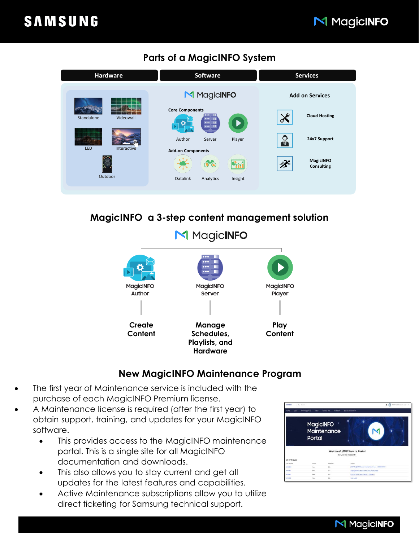## M MagicINFO

### **Parts of a MagicINFO System**



## **MagicINFO a 3-step content management solution**



#### **New MagicINFO Maintenance Program**

- The first year of Maintenance service is included with the purchase of each MagicINFO Premium license.
- A Maintenance license is required (after the first year) to obtain support, training, and updates for your MagicINFO software.
	- This provides access to the MagicINFO maintenance portal. This is a single site for all MagicINFO documentation and downloads.
	- This also allows you to stay current and get all updates for the latest features and capabilities.
	- Active Maintenance subscriptions allow you to utilize direct ticketing for Samsung technical support.



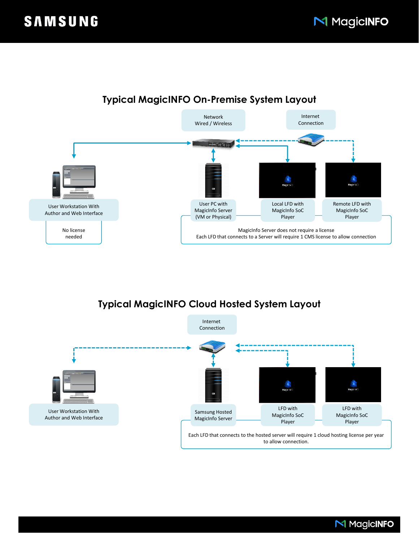

# **Typical MagicINFO On-Premise System Layout**

## **Typical MagicINFO Cloud Hosted System Layout**